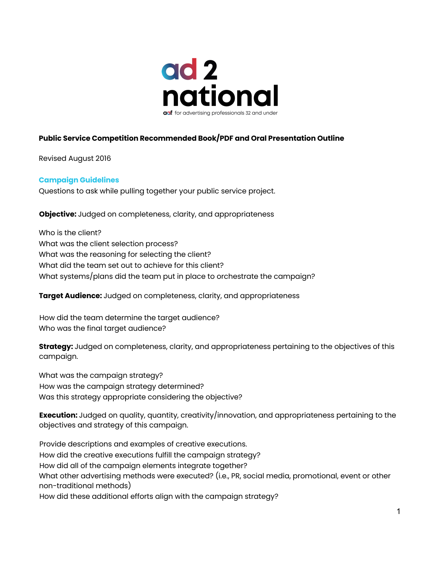

# **Public Service Competition Recommended Book/PDF and Oral Presentation Outline**

Revised August 2016

#### **Campaign Guidelines**

Questions to ask while pulling together your public service project.

**Objective:** Judged on completeness, clarity, and appropriateness

Who is the client? What was the client selection process? What was the reasoning for selecting the client? What did the team set out to achieve for this client? What systems/plans did the team put in place to orchestrate the campaign?

**Target Audience:** Judged on completeness, clarity, and appropriateness

How did the team determine the target audience? Who was the final target audience?

**Strategy:** Judged on completeness, clarity, and appropriateness pertaining to the objectives of this campaign.

What was the campaign strategy? How was the campaign strategy determined? Was this strategy appropriate considering the objective?

**Execution:** Judged on quality, quantity, creativity/innovation, and appropriateness pertaining to the objectives and strategy of this campaign.

Provide descriptions and examples of creative executions. How did the creative executions fulfill the campaign strategy? How did all of the campaign elements integrate together? What other advertising methods were executed? (i.e., PR, social media, promotional, event or other non-traditional methods) How did these additional efforts align with the campaign strategy?